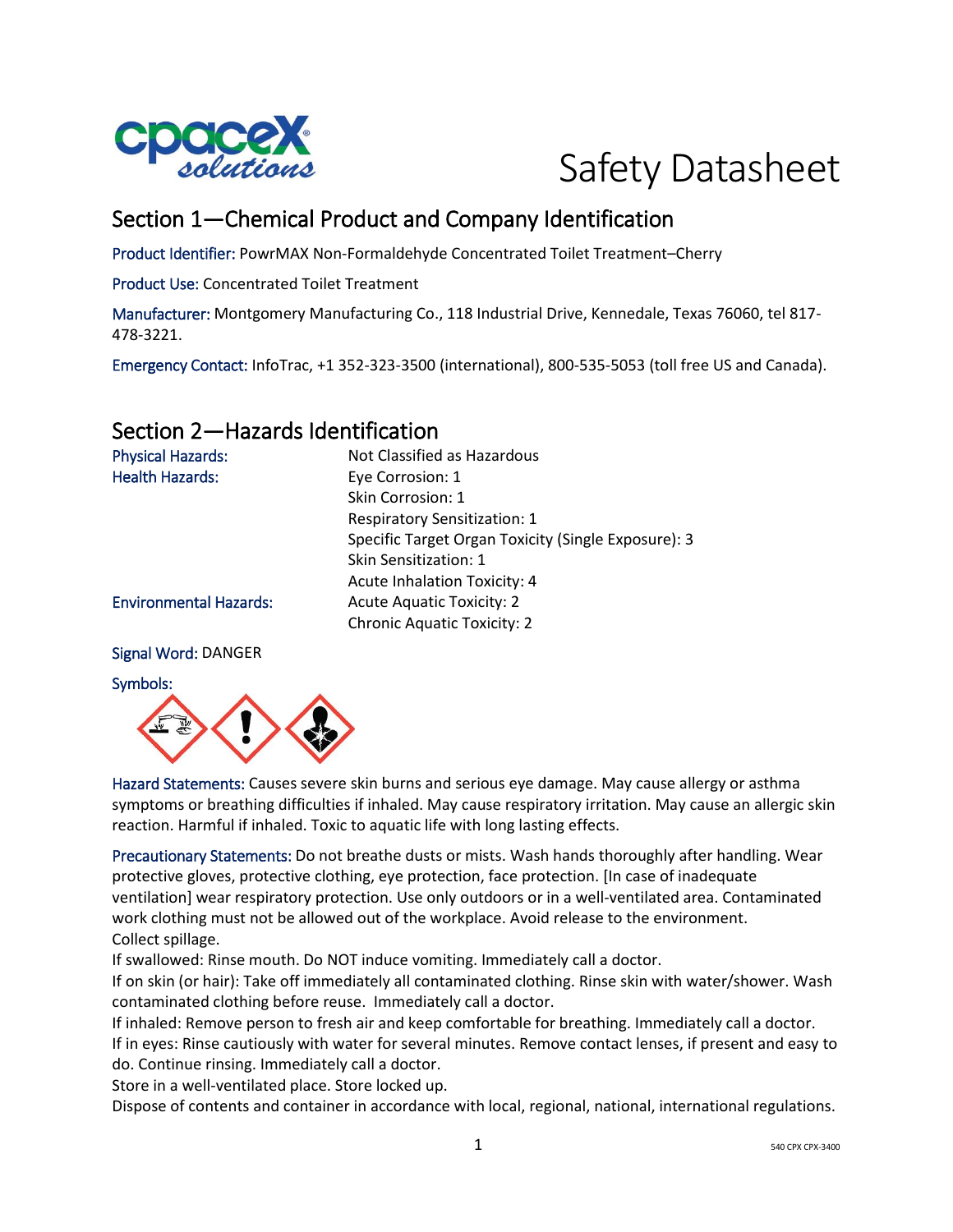

# Safety Datasheet

# Section 1—Chemical Product and Company Identification

Product Identifier: PowrMAX Non-Formaldehyde Concentrated Toilet Treatment–Cherry

Product Use: Concentrated Toilet Treatment

Manufacturer: Montgomery Manufacturing Co., 118 Industrial Drive, Kennedale, Texas 76060, tel 817- 478-3221.

Emergency Contact: InfoTrac, +1 352-323-3500 (international), 800-535-5053 (toll free US and Canada).

# Section 2—Hazards Identification

| <b>Physical Hazards:</b>      | Not Classified as Hazardous                         |
|-------------------------------|-----------------------------------------------------|
| <b>Health Hazards:</b>        | Eye Corrosion: 1                                    |
|                               | Skin Corrosion: 1                                   |
|                               | <b>Respiratory Sensitization: 1</b>                 |
|                               | Specific Target Organ Toxicity (Single Exposure): 3 |
|                               | Skin Sensitization: 1                               |
|                               | Acute Inhalation Toxicity: 4                        |
| <b>Environmental Hazards:</b> | <b>Acute Aquatic Toxicity: 2</b>                    |
|                               | <b>Chronic Aquatic Toxicity: 2</b>                  |
|                               |                                                     |

#### Signal Word: DANGER





Hazard Statements: Causes severe skin burns and serious eye damage. May cause allergy or asthma symptoms or breathing difficulties if inhaled. May cause respiratory irritation. May cause an allergic skin reaction. Harmful if inhaled. Toxic to aquatic life with long lasting effects.

Precautionary Statements: Do not breathe dusts or mists. Wash hands thoroughly after handling. Wear protective gloves, protective clothing, eye protection, face protection. [In case of inadequate ventilation] wear respiratory protection. Use only outdoors or in a well-ventilated area. Contaminated work clothing must not be allowed out of the workplace. Avoid release to the environment. Collect spillage.

If swallowed: Rinse mouth. Do NOT induce vomiting. Immediately call a doctor.

If on skin (or hair): Take off immediately all contaminated clothing. Rinse skin with water/shower. Wash contaminated clothing before reuse. Immediately call a doctor.

If inhaled: Remove person to fresh air and keep comfortable for breathing. Immediately call a doctor. If in eyes: Rinse cautiously with water for several minutes. Remove contact lenses, if present and easy to do. Continue rinsing. Immediately call a doctor.

Store in a well-ventilated place. Store locked up.

Dispose of contents and container in accordance with local, regional, national, international regulations.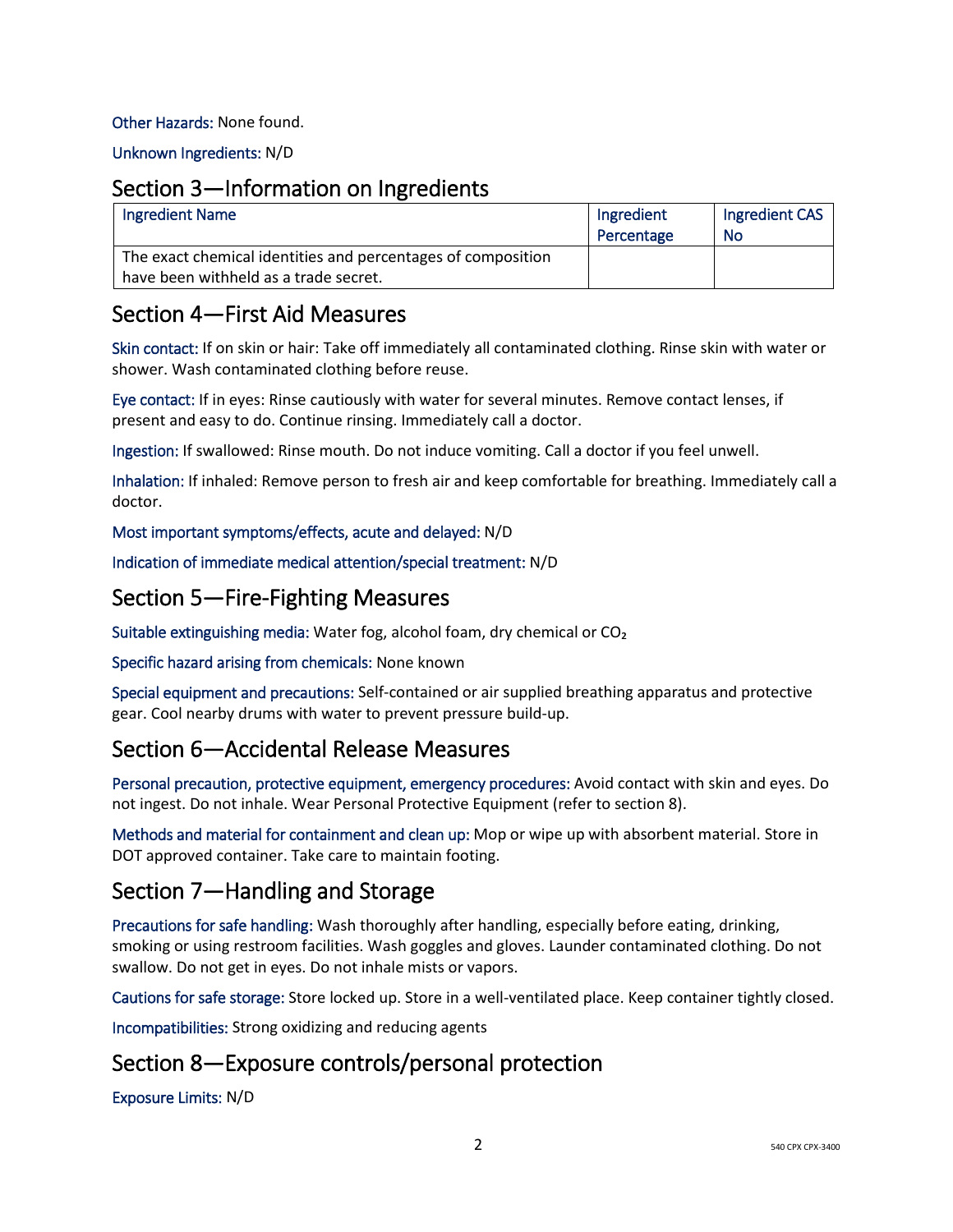#### Other Hazards: None found.

Unknown Ingredients: N/D

#### Section 3—Information on Ingredients

| <b>Ingredient Name</b>                                                                                | Ingredient<br>Percentage | Ingredient CAS<br>No |
|-------------------------------------------------------------------------------------------------------|--------------------------|----------------------|
| The exact chemical identities and percentages of composition<br>have been withheld as a trade secret. |                          |                      |

#### Section 4—First Aid Measures

Skin contact: If on skin or hair: Take off immediately all contaminated clothing. Rinse skin with water or shower. Wash contaminated clothing before reuse.

Eye contact: If in eyes: Rinse cautiously with water for several minutes. Remove contact lenses, if present and easy to do. Continue rinsing. Immediately call a doctor.

Ingestion: If swallowed: Rinse mouth. Do not induce vomiting. Call a doctor if you feel unwell.

Inhalation: If inhaled: Remove person to fresh air and keep comfortable for breathing. Immediately call a doctor.

Most important symptoms/effects, acute and delayed: N/D

Indication of immediate medical attention/special treatment: N/D

### Section 5—Fire-Fighting Measures

Suitable extinguishing media: Water fog, alcohol foam, dry chemical or CO₂

Specific hazard arising from chemicals: None known

Special equipment and precautions: Self-contained or air supplied breathing apparatus and protective gear. Cool nearby drums with water to prevent pressure build-up.

### Section 6—Accidental Release Measures

Personal precaution, protective equipment, emergency procedures: Avoid contact with skin and eyes. Do not ingest. Do not inhale. Wear Personal Protective Equipment (refer to section 8).

Methods and material for containment and clean up: Mop or wipe up with absorbent material. Store in DOT approved container. Take care to maintain footing.

# Section 7—Handling and Storage

Precautions for safe handling: Wash thoroughly after handling, especially before eating, drinking, smoking or using restroom facilities. Wash goggles and gloves. Launder contaminated clothing. Do not swallow. Do not get in eyes. Do not inhale mists or vapors.

Cautions for safe storage: Store locked up. Store in a well-ventilated place. Keep container tightly closed.

Incompatibilities: Strong oxidizing and reducing agents

# Section 8—Exposure controls/personal protection

Exposure Limits: N/D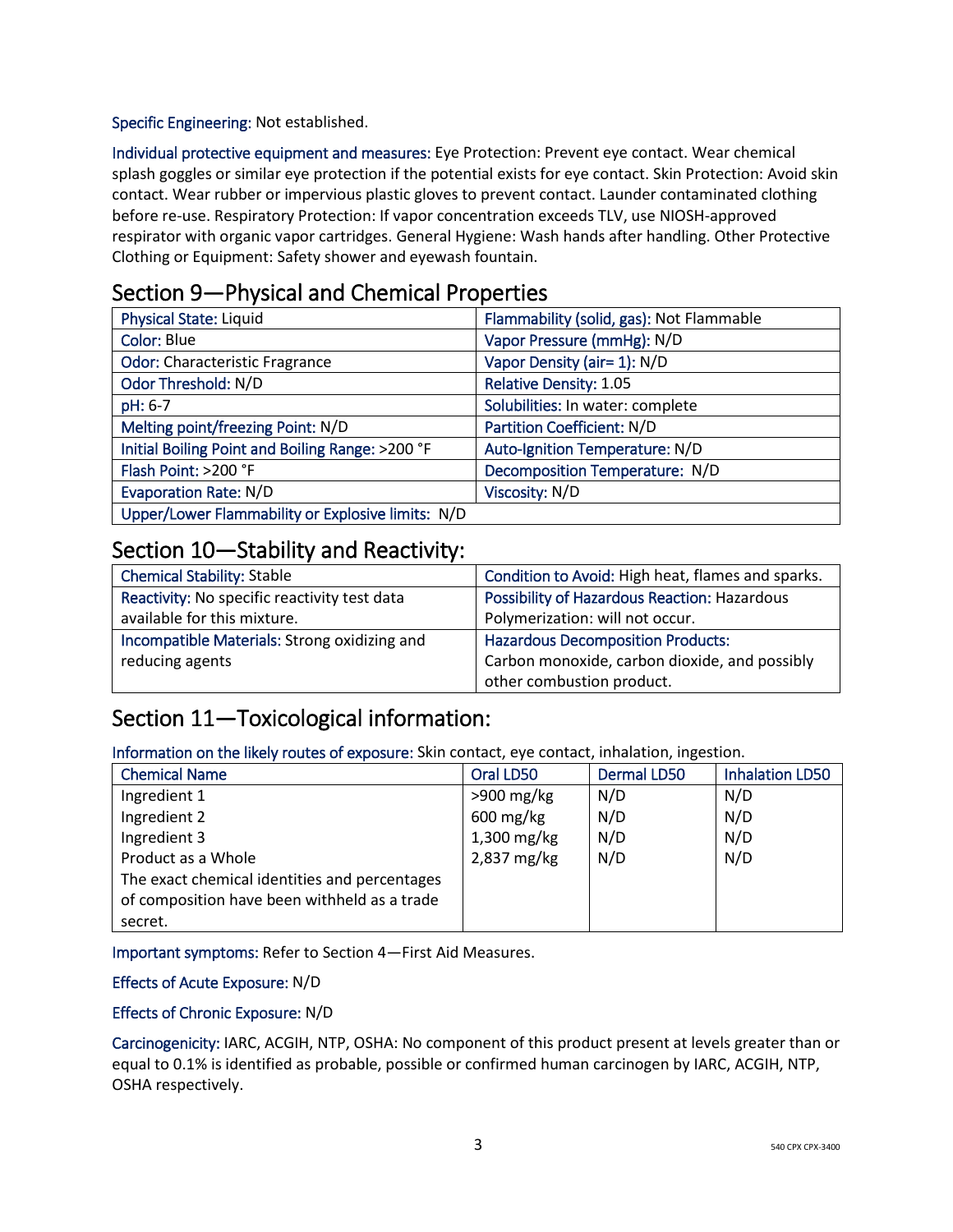Specific Engineering: Not established.

Individual protective equipment and measures: Eye Protection: Prevent eye contact. Wear chemical splash goggles or similar eye protection if the potential exists for eye contact. Skin Protection: Avoid skin contact. Wear rubber or impervious plastic gloves to prevent contact. Launder contaminated clothing before re-use. Respiratory Protection: If vapor concentration exceeds TLV, use NIOSH-approved respirator with organic vapor cartridges. General Hygiene: Wash hands after handling. Other Protective Clothing or Equipment: Safety shower and eyewash fountain.

## Section 9—Physical and Chemical Properties

| <b>Physical State: Liquid</b>                     | Flammability (solid, gas): Not Flammable |
|---------------------------------------------------|------------------------------------------|
| <b>Color: Blue</b>                                | Vapor Pressure (mmHg): N/D               |
| <b>Odor: Characteristic Fragrance</b>             | Vapor Density (air= 1): N/D              |
| Odor Threshold: N/D                               | <b>Relative Density: 1.05</b>            |
| pH: 6-7                                           | Solubilities: In water: complete         |
| Melting point/freezing Point: N/D                 | <b>Partition Coefficient: N/D</b>        |
| Initial Boiling Point and Boiling Range: >200 °F  | Auto-Ignition Temperature: N/D           |
| Flash Point: >200 °F                              | Decomposition Temperature: N/D           |
| <b>Evaporation Rate: N/D</b>                      | Viscosity: N/D                           |
| Upper/Lower Flammability or Explosive limits: N/D |                                          |

### Section 10—Stability and Reactivity:

| <b>Chemical Stability: Stable</b>            | Condition to Avoid: High heat, flames and sparks.   |
|----------------------------------------------|-----------------------------------------------------|
| Reactivity: No specific reactivity test data | <b>Possibility of Hazardous Reaction: Hazardous</b> |
| available for this mixture.                  | Polymerization: will not occur.                     |
| Incompatible Materials: Strong oxidizing and | <b>Hazardous Decomposition Products:</b>            |
| reducing agents                              | Carbon monoxide, carbon dioxide, and possibly       |
|                                              | other combustion product.                           |

# Section 11—Toxicological information:

Information on the likely routes of exposure: Skin contact, eye contact, inhalation, ingestion.

| <b>Chemical Name</b>                          | Oral LD50     | <b>Dermal LD50</b> | <b>Inhalation LD50</b> |
|-----------------------------------------------|---------------|--------------------|------------------------|
| Ingredient 1                                  | $>900$ mg/kg  | N/D                | N/D                    |
| Ingredient 2                                  | $600$ mg/kg   | N/D                | N/D                    |
| Ingredient 3                                  | $1,300$ mg/kg | N/D                | N/D                    |
| Product as a Whole                            | 2,837 mg/kg   | N/D                | N/D                    |
| The exact chemical identities and percentages |               |                    |                        |
| of composition have been withheld as a trade  |               |                    |                        |
| secret.                                       |               |                    |                        |

Important symptoms: Refer to Section 4—First Aid Measures.

#### Effects of Acute Exposure: N/D

#### Effects of Chronic Exposure: N/D

Carcinogenicity: IARC, ACGIH, NTP, OSHA: No component of this product present at levels greater than or equal to 0.1% is identified as probable, possible or confirmed human carcinogen by IARC, ACGIH, NTP, OSHA respectively.